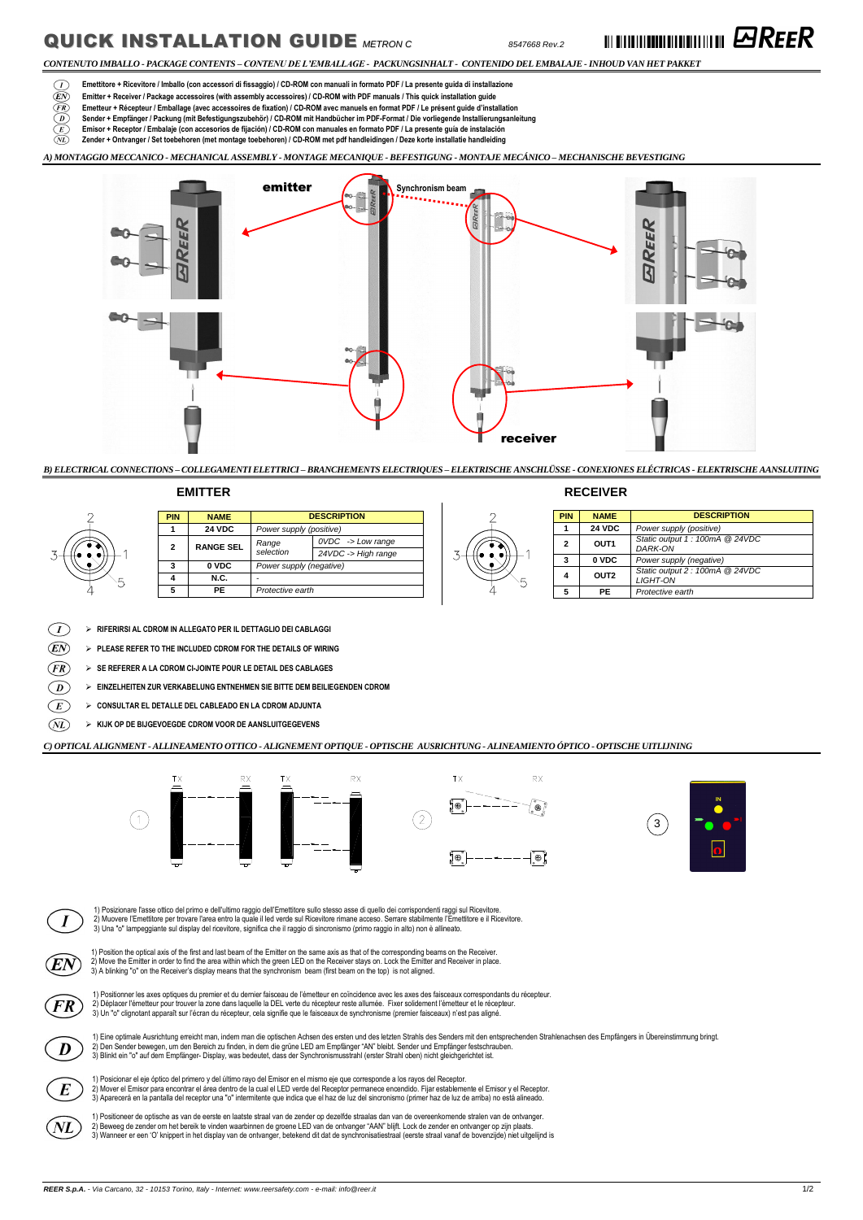## **QUICK INSTALLATION GUIDE** METRON C **CONSUMER** 8547668 Rev.2 **Rev.2 III ENGINEER**

*CONTENUTO IMBALLO - PACKAGE CONTENTS – CONTENU DE L'EMBALLAGE - PACKUNGSINHALT - CONTENIDO DEL EMBALAJE -INHOUD VAN HET PAKKET*

- $\bigcirc$ **Emettitore + Ricevitore / Imballo (con accessori di fissaggio) / CD-ROM con manuali in formato PDF / La presente guida di installazione**
- **Emitter + Receiver / Package accessoires (with assembly accessoires) / CD-ROM with PDF manuals / This quick installation guide**  (EN)
- $(FR)$ **Emetteur + Récepteur / Emballage (avec accessoires de fixation) / CD-ROM avec manuels en format PDF / Le présent guide d'installation**
- **Sender + Empfänger / Packung (mit Befestigungszubehör) / CD-ROM mit Handbücher im PDF-Format / Die vorliegende Installierungsanleitung**  $\odot$
- Œ) **Emisor + Receptor / Embalaje (con accesorios de fijación) / CD-ROM con manuales en formato PDF / La presente guía de instalación**
- **Zender + Ontvanger / Set toebehoren (met montage toebehoren) / CD-ROM met pdf handleidingen / Deze korte installatie handleiding**  $\circledR$

 $\langle~I~\rangle$ **RIFERIRSI AL CDROM IN ALLEGATO PER IL DETTAGLIO DEI CABLAGGI**

 $\widehat{\mathit{EN}}$ **PLEASE REFER TO THE INCLUDED CDROM FOR THE DETAILS OF WIRING**

 $\widehat{FR}$ **SE REFERER A LA CDROM CI-JOINTE POUR LE DETAIL DES CABLAGES**

 **EINZELHEITEN ZUR VERKABELUNG ENTNEHMEN SIE BITTE DEM BEILIEGENDEN CDROM**  $\bm{D}$ 

*A) MONTAGGIO MECCANICO - MECHANICAL ASSEMBLY - MONTAGE MECANIQUE - BEFESTIGUNG - MONTAJE MECÁNICO – MECHANISCHE BEVESTIGING*





### **EMITTER RECEIVER**

|   | <b>PIN</b> | <b>NAME</b>                              | <b>DESCRIPTION</b>      |                                |
|---|------------|------------------------------------------|-------------------------|--------------------------------|
|   |            | <b>24 VDC</b><br>Power supply (positive) |                         |                                |
|   | 2          | <b>RANGE SEL</b>                         | Range<br>selection      | $OVDC \rightarrow Low \ range$ |
|   |            |                                          |                         | 24VDC -> High range            |
|   |            | 0 VDC                                    | Power supply (negative) |                                |
| ᄃ |            | <b>N.C.</b>                              |                         |                                |
|   |            | РE                                       | Protective earth        |                                |

|    | <b>PIN</b> | <b>NAME</b>      | <b>DESCRIPTION</b>                                 |  |
|----|------------|------------------|----------------------------------------------------|--|
| ١F |            | <b>24 VDC</b>    | Power supply (positive)                            |  |
|    | 2          | OUT <sub>1</sub> | Static output 1 : 100mA @ 24VDC<br>DARK-ON         |  |
|    | 3          | 0 VDC            | Power supply (negative)                            |  |
|    | 4          | OUT <sub>2</sub> | Static output 2 : 100mA @ 24VDC<br><b>LIGHT-ON</b> |  |
|    | 5          | PE.              | Protective earth                                   |  |

**CONSULTAR EL DETALLE DEL CABLEADO EN LA CDROM ADJUNTA**

**KIJK OP DE BIJGEVOEGDE CDROM VOOR DE AANSLUITGEGEVENS**

*C) OPTICAL ALIGNMENT - ALLINEAMENTO OTTICO - ALIGNEMENT OPTIQUE - OPTISCHE AUSRICHTUNG - ALINEAMIENTO ÓPTICO - OPTISCHE UITLIJNING*



1) Posizionare l'asse ottico del primo e dell'ultimo raggio dell'Emettitore sullo stesso asse di quello dei corrispondenti raggi sul Ricevitore. 2) Muovere l'Emettitore per trovare l'area entro la quale il led verde sul Ricevitore rimane acceso. Serrare stabilmente l'Emettitore e il Ricevitore.



3) Una "o" lampeggiante sul display del ricevitore, significa che il raggio di sincronismo (primo raggio in alto) non è allineato.



1) Position the optical axis of the first and last beam of the Emitter on the same axis as that of the corresponding beams on the Receiver. 2) Move the Emitter in order to find the area within which the green LED on the Receiver stays on. Lock the Emitter and Receiver in place. 3) A blinking "o" on the Receiver's display means that the synchronism beam (first beam on the top) is not aligned.



1) Positionner les axes optiques du premier et du dernier faisceau de l'émetteur en coïncidence avec les axes des faisceaux correspondants du récepteur. 2) Déplacer l'émetteur pour trouver la zone dans laquelle la DEL verte du récepteur reste allumée. Fixer solidement l'émetteur et le récepteur. 3) Un "o" clignotant apparaît sur l'écran du récepteur, cela signifie que le faisceaux de synchronisme (premier faisceaux) n'est pas aligné.



1) Eine optimale Ausrichtung erreicht man, indem man die optischen Achsen des ersten und des letzten Strahls des Senders mit den entsprechenden Strahlenachsen des Empfängers in Übereinstimmung bringt. 2) Den Sender bewegen, um den Bereich zu finden, in dem die grüne LED am Empfänger "AN" bleibt. Sender und Empfänger festschrauben. 3) Blinkt ein "o" auf dem Empfänger- Display, was bedeutet, dass der Synchronismusstrahl (erster Strahl oben) nicht gleichgerichtet ist.



1) Posicionar el eje óptico del primero y del último rayo del Emisor en el mismo eje que corresponde a los rayos del Receptor. 2) Mover el Emisor para encontrar el área dentro de la cual el LED verde del Receptor permanece encendido. Fijar establemente el Emisor y el Receptor. 3) Aparecerá en la pantalla del receptor una "o" intermitente que indica que el haz de luz del sincronismo (primer haz de luz de arriba) no está alineado.



1) Positioneer de optische as van de eerste en laatste straal van de zender op dezelfde straalas dan van de overeenkomende stralen van de ontvanger. 2) Beweeg de zender om het bereik te vinden waarbinnen de groene LED van de ontvanger "AAN" blijft. Lock de zender en ontvanger op zijn plaats. 3) Wanneer er een 'O' knippert in het display van de ontvanger, betekend dit dat de synchronisatiestraal (eerste straal vanaf de bovenzijde) niet uitgelijnd is



3





 $\left( \begin{matrix} E \end{matrix} \right)$  $(ML)$